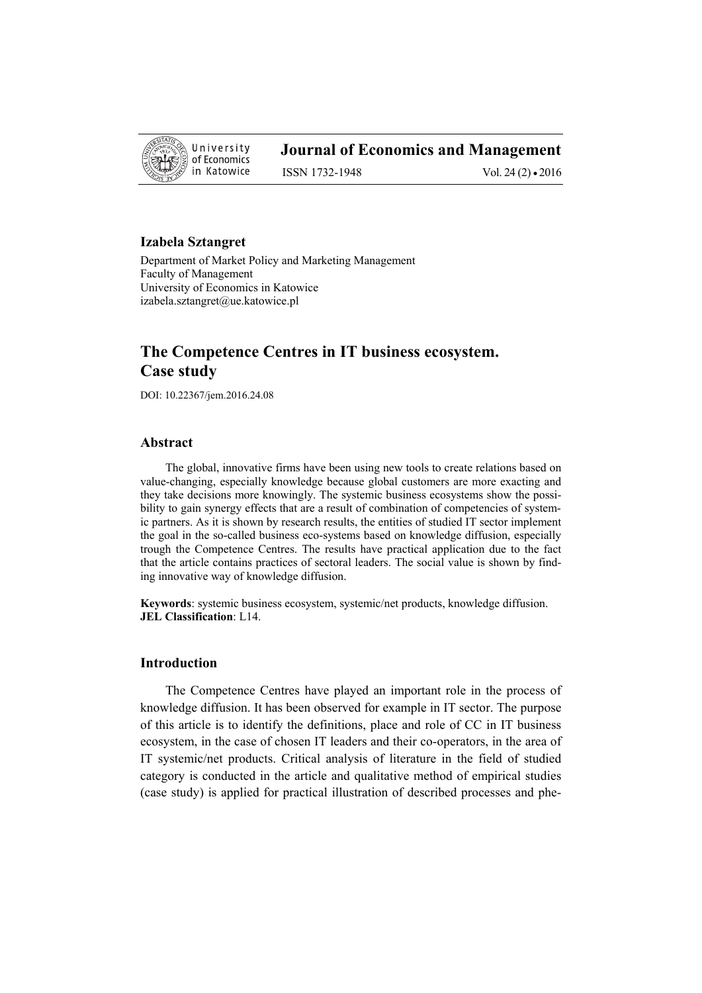

# **Journal of Economics and Management**

ISSN 1732-1948 Vol. 24 (2) • 2016

### **Izabela Sztangret**

Department of Market Policy and Marketing Management Faculty of Management University of Economics in Katowice izabela.sztangret@ue.katowice.pl

# **The Competence Centres in IT business ecosystem. Case study**

DOI: 10.22367/jem.2016.24.08

#### **Abstract**

The global, innovative firms have been using new tools to create relations based on value-changing, especially knowledge because global customers are more exacting and they take decisions more knowingly. The systemic business ecosystems show the possibility to gain synergy effects that are a result of combination of competencies of systemic partners. As it is shown by research results, the entities of studied IT sector implement the goal in the so-called business eco-systems based on knowledge diffusion, especially trough the Competence Centres. The results have practical application due to the fact that the article contains practices of sectoral leaders. The social value is shown by finding innovative way of knowledge diffusion.

**Keywords**: systemic business ecosystem, systemic/net products, knowledge diffusion. **JEL Classification**: L14.

### **Introduction**

The Competence Centres have played an important role in the process of knowledge diffusion. It has been observed for example in IT sector. The purpose of this article is to identify the definitions, place and role of CC in IT business ecosystem, in the case of chosen IT leaders and their co-operators, in the area of IT systemic/net products. Critical analysis of literature in the field of studied category is conducted in the article and qualitative method of empirical studies (case study) is applied for practical illustration of described processes and phe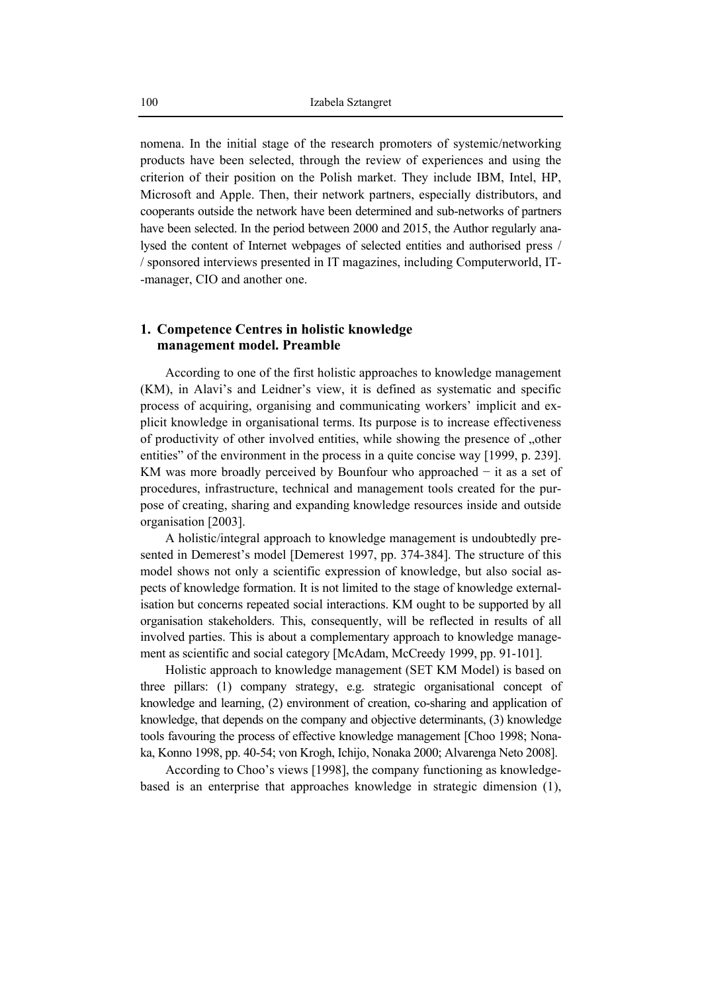nomena. In the initial stage of the research promoters of systemic/networking products have been selected, through the review of experiences and using the criterion of their position on the Polish market. They include IBM, Intel, HP, Microsoft and Apple. Then, their network partners, especially distributors, and cooperants outside the network have been determined and sub-networks of partners have been selected. In the period between 2000 and 2015, the Author regularly analysed the content of Internet webpages of selected entities and authorised press / / sponsored interviews presented in IT magazines, including Computerworld, IT- -manager, CIO and another one.

### **1. Competence Centres in holistic knowledge management model. Preamble**

According to one of the first holistic approaches to knowledge management (KM), in Alavi's and Leidner's view, it is defined as systematic and specific process of acquiring, organising and communicating workers' implicit and explicit knowledge in organisational terms. Its purpose is to increase effectiveness of productivity of other involved entities, while showing the presence of "other entities" of the environment in the process in a quite concise way [1999, p. 239]. KM was more broadly perceived by Bounfour who approached − it as a set of procedures, infrastructure, technical and management tools created for the purpose of creating, sharing and expanding knowledge resources inside and outside organisation [2003].

A holistic/integral approach to knowledge management is undoubtedly presented in Demerest's model [Demerest 1997, pp. 374-384]. The structure of this model shows not only a scientific expression of knowledge, but also social aspects of knowledge formation. It is not limited to the stage of knowledge externalisation but concerns repeated social interactions. KM ought to be supported by all organisation stakeholders. This, consequently, will be reflected in results of all involved parties. This is about a complementary approach to knowledge management as scientific and social category [McAdam, McCreedy 1999, pp. 91-101].

Holistic approach to knowledge management (SET KM Model) is based on three pillars: (1) company strategy, e.g. strategic organisational concept of knowledge and learning, (2) environment of creation, co-sharing and application of knowledge, that depends on the company and objective determinants, (3) knowledge tools favouring the process of effective knowledge management [Choo 1998; Nonaka, Konno 1998, pp. 40-54; von Krogh, Ichijo, Nonaka 2000; Alvarenga Neto 2008].

According to Choo's views [1998], the company functioning as knowledgebased is an enterprise that approaches knowledge in strategic dimension (1),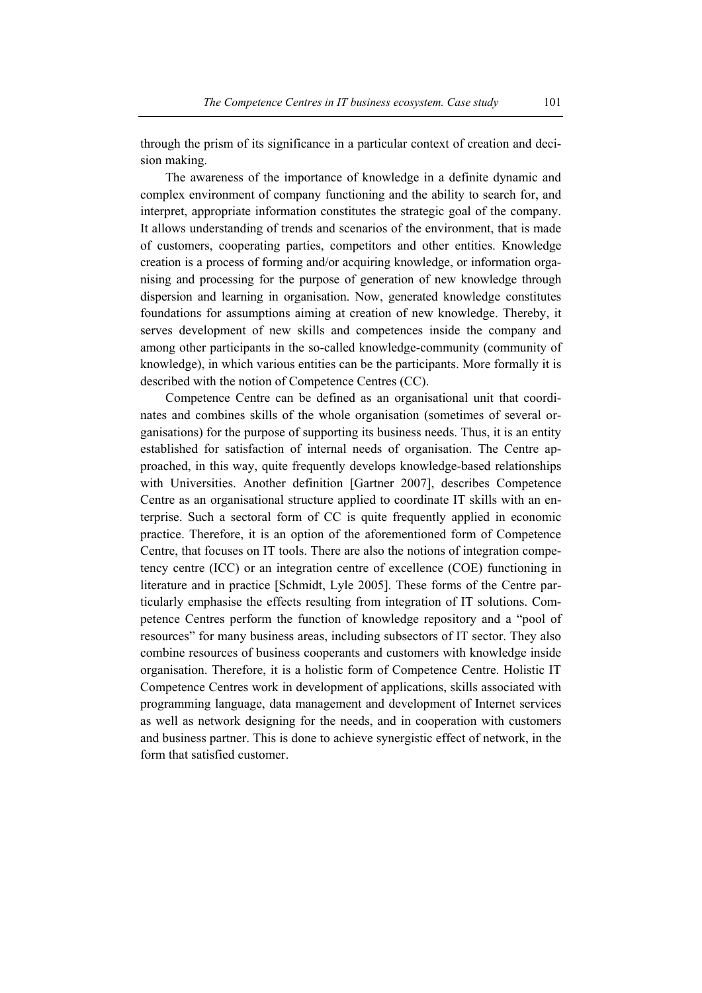through the prism of its significance in a particular context of creation and decision making.

The awareness of the importance of knowledge in a definite dynamic and complex environment of company functioning and the ability to search for, and interpret, appropriate information constitutes the strategic goal of the company. It allows understanding of trends and scenarios of the environment, that is made of customers, cooperating parties, competitors and other entities. Knowledge creation is a process of forming and/or acquiring knowledge, or information organising and processing for the purpose of generation of new knowledge through dispersion and learning in organisation. Now, generated knowledge constitutes foundations for assumptions aiming at creation of new knowledge. Thereby, it serves development of new skills and competences inside the company and among other participants in the so-called knowledge-community (community of knowledge), in which various entities can be the participants. More formally it is described with the notion of Competence Centres (CC).

Competence Centre can be defined as an organisational unit that coordinates and combines skills of the whole organisation (sometimes of several organisations) for the purpose of supporting its business needs. Thus, it is an entity established for satisfaction of internal needs of organisation. The Centre approached, in this way, quite frequently develops knowledge-based relationships with Universities. Another definition [Gartner 2007], describes Competence Centre as an organisational structure applied to coordinate IT skills with an enterprise. Such a sectoral form of CC is quite frequently applied in economic practice. Therefore, it is an option of the aforementioned form of Competence Centre, that focuses on IT tools. There are also the notions of integration competency centre (ICC) or an integration centre of excellence (COE) functioning in literature and in practice [Schmidt, Lyle 2005]. These forms of the Centre particularly emphasise the effects resulting from integration of IT solutions. Competence Centres perform the function of knowledge repository and a "pool of resources" for many business areas, including subsectors of IT sector. They also combine resources of business cooperants and customers with knowledge inside organisation. Therefore, it is a holistic form of Competence Centre. Holistic IT Competence Centres work in development of applications, skills associated with programming language, data management and development of Internet services as well as network designing for the needs, and in cooperation with customers and business partner. This is done to achieve synergistic effect of network, in the form that satisfied customer.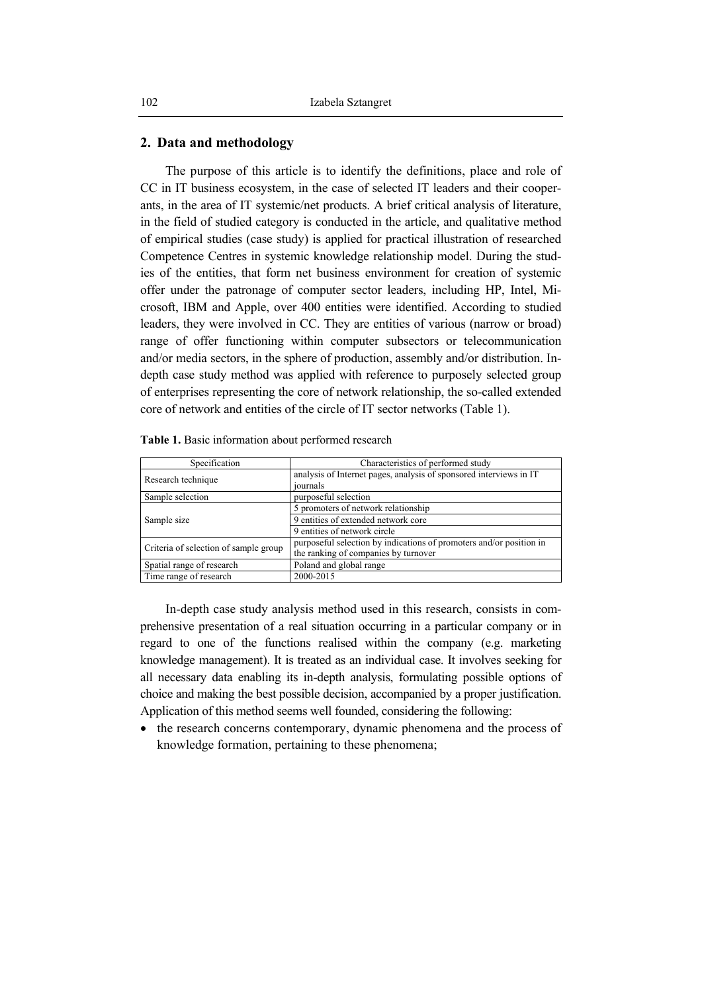#### **2. Data and methodology**

The purpose of this article is to identify the definitions, place and role of CC in IT business ecosystem, in the case of selected IT leaders and their cooperants, in the area of IT systemic/net products. A brief critical analysis of literature, in the field of studied category is conducted in the article, and qualitative method of empirical studies (case study) is applied for practical illustration of researched Competence Centres in systemic knowledge relationship model. During the studies of the entities, that form net business environment for creation of systemic offer under the patronage of computer sector leaders, including HP, Intel, Microsoft, IBM and Apple, over 400 entities were identified. According to studied leaders, they were involved in CC. They are entities of various (narrow or broad) range of offer functioning within computer subsectors or telecommunication and/or media sectors, in the sphere of production, assembly and/or distribution. Indepth case study method was applied with reference to purposely selected group of enterprises representing the core of network relationship, the so-called extended core of network and entities of the circle of IT sector networks (Table 1).

| Specification                         | Characteristics of performed study                                                                          |
|---------------------------------------|-------------------------------------------------------------------------------------------------------------|
| Research technique                    | analysis of Internet pages, analysis of sponsored interviews in IT<br>journals                              |
| Sample selection                      | purposeful selection                                                                                        |
|                                       | 5 promoters of network relationship                                                                         |
| Sample size                           | 9 entities of extended network core                                                                         |
|                                       | 9 entities of network circle                                                                                |
| Criteria of selection of sample group | purposeful selection by indications of promoters and/or position in<br>the ranking of companies by turnover |
| Spatial range of research             | Poland and global range                                                                                     |
| Time range of research                | 2000-2015                                                                                                   |

**Table 1.** Basic information about performed research

In-depth case study analysis method used in this research, consists in comprehensive presentation of a real situation occurring in a particular company or in regard to one of the functions realised within the company (e.g. marketing knowledge management). It is treated as an individual case. It involves seeking for all necessary data enabling its in-depth analysis, formulating possible options of choice and making the best possible decision, accompanied by a proper justification. Application of this method seems well founded, considering the following:

• the research concerns contemporary, dynamic phenomena and the process of knowledge formation, pertaining to these phenomena;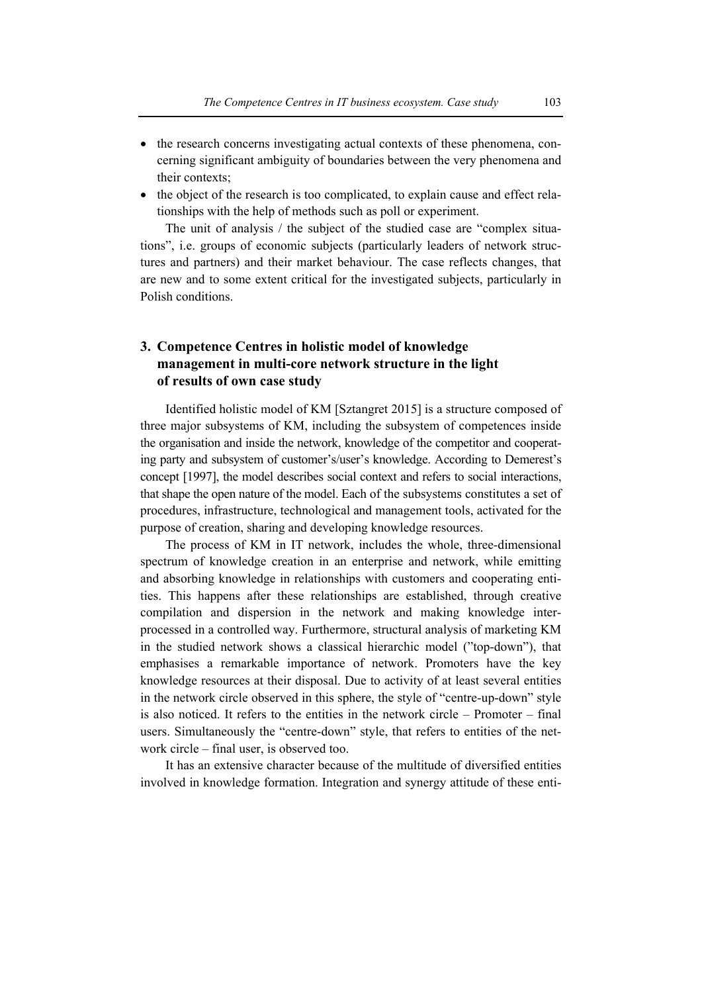- the research concerns investigating actual contexts of these phenomena, concerning significant ambiguity of boundaries between the very phenomena and their contexts;
- the object of the research is too complicated, to explain cause and effect relationships with the help of methods such as poll or experiment.

The unit of analysis / the subject of the studied case are "complex situations", i.e. groups of economic subjects (particularly leaders of network structures and partners) and their market behaviour. The case reflects changes, that are new and to some extent critical for the investigated subjects, particularly in Polish conditions.

## **3. Competence Centres in holistic model of knowledge management in multi-core network structure in the light of results of own case study**

Identified holistic model of KM [Sztangret 2015] is a structure composed of three major subsystems of KM, including the subsystem of competences inside the organisation and inside the network, knowledge of the competitor and cooperating party and subsystem of customer's/user's knowledge. According to Demerest's concept [1997], the model describes social context and refers to social interactions, that shape the open nature of the model. Each of the subsystems constitutes a set of procedures, infrastructure, technological and management tools, activated for the purpose of creation, sharing and developing knowledge resources.

The process of KM in IT network, includes the whole, three-dimensional spectrum of knowledge creation in an enterprise and network, while emitting and absorbing knowledge in relationships with customers and cooperating entities. This happens after these relationships are established, through creative compilation and dispersion in the network and making knowledge interprocessed in a controlled way. Furthermore, structural analysis of marketing KM in the studied network shows a classical hierarchic model ("top-down"), that emphasises a remarkable importance of network. Promoters have the key knowledge resources at their disposal. Due to activity of at least several entities in the network circle observed in this sphere, the style of "centre-up-down" style is also noticed. It refers to the entities in the network circle – Promoter – final users. Simultaneously the "centre-down" style, that refers to entities of the network circle – final user, is observed too.

It has an extensive character because of the multitude of diversified entities involved in knowledge formation. Integration and synergy attitude of these enti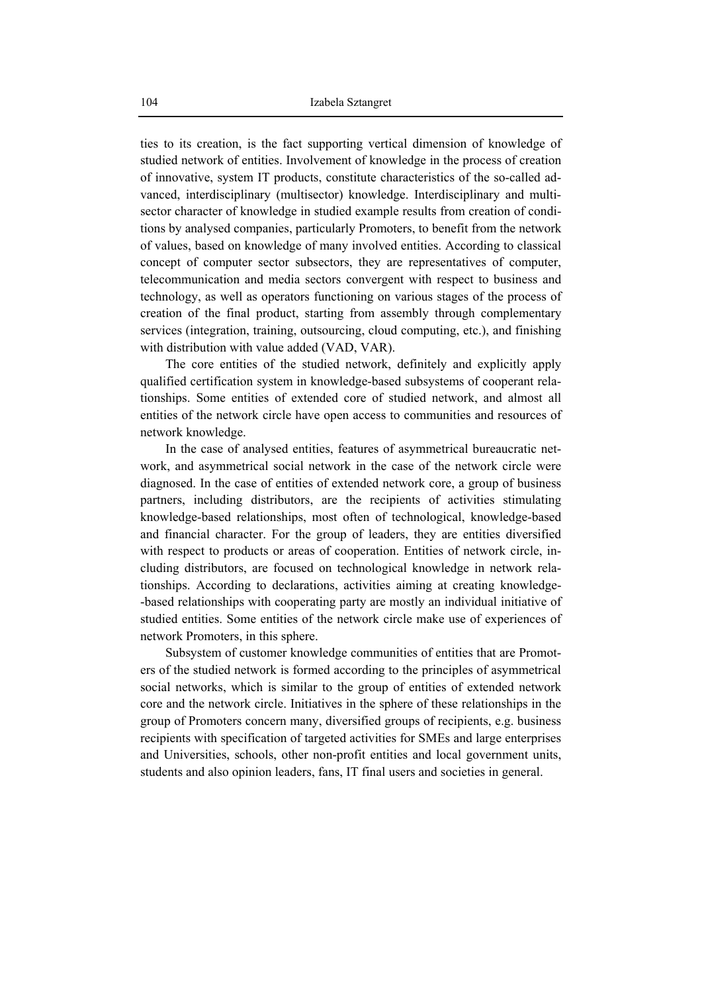ties to its creation, is the fact supporting vertical dimension of knowledge of studied network of entities. Involvement of knowledge in the process of creation of innovative, system IT products, constitute characteristics of the so-called advanced, interdisciplinary (multisector) knowledge. Interdisciplinary and multisector character of knowledge in studied example results from creation of conditions by analysed companies, particularly Promoters, to benefit from the network of values, based on knowledge of many involved entities. According to classical concept of computer sector subsectors, they are representatives of computer, telecommunication and media sectors convergent with respect to business and technology, as well as operators functioning on various stages of the process of creation of the final product, starting from assembly through complementary services (integration, training, outsourcing, cloud computing, etc.), and finishing with distribution with value added (VAD, VAR).

The core entities of the studied network, definitely and explicitly apply qualified certification system in knowledge-based subsystems of cooperant relationships. Some entities of extended core of studied network, and almost all entities of the network circle have open access to communities and resources of network knowledge.

In the case of analysed entities, features of asymmetrical bureaucratic network, and asymmetrical social network in the case of the network circle were diagnosed. In the case of entities of extended network core, a group of business partners, including distributors, are the recipients of activities stimulating knowledge-based relationships, most often of technological, knowledge-based and financial character. For the group of leaders, they are entities diversified with respect to products or areas of cooperation. Entities of network circle, including distributors, are focused on technological knowledge in network relationships. According to declarations, activities aiming at creating knowledge- -based relationships with cooperating party are mostly an individual initiative of studied entities. Some entities of the network circle make use of experiences of network Promoters, in this sphere.

Subsystem of customer knowledge communities of entities that are Promoters of the studied network is formed according to the principles of asymmetrical social networks, which is similar to the group of entities of extended network core and the network circle. Initiatives in the sphere of these relationships in the group of Promoters concern many, diversified groups of recipients, e.g. business recipients with specification of targeted activities for SMEs and large enterprises and Universities, schools, other non-profit entities and local government units, students and also opinion leaders, fans, IT final users and societies in general.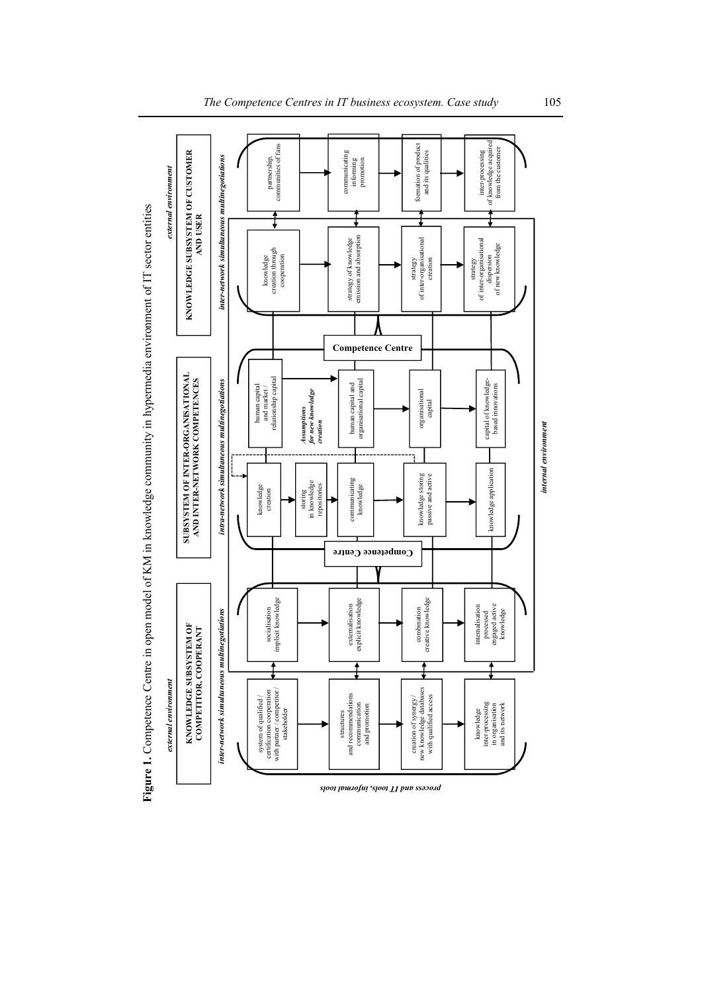

Figure 1. Competence Centre in open model of KM in knowledge community in hypermedia environment of IT sector entities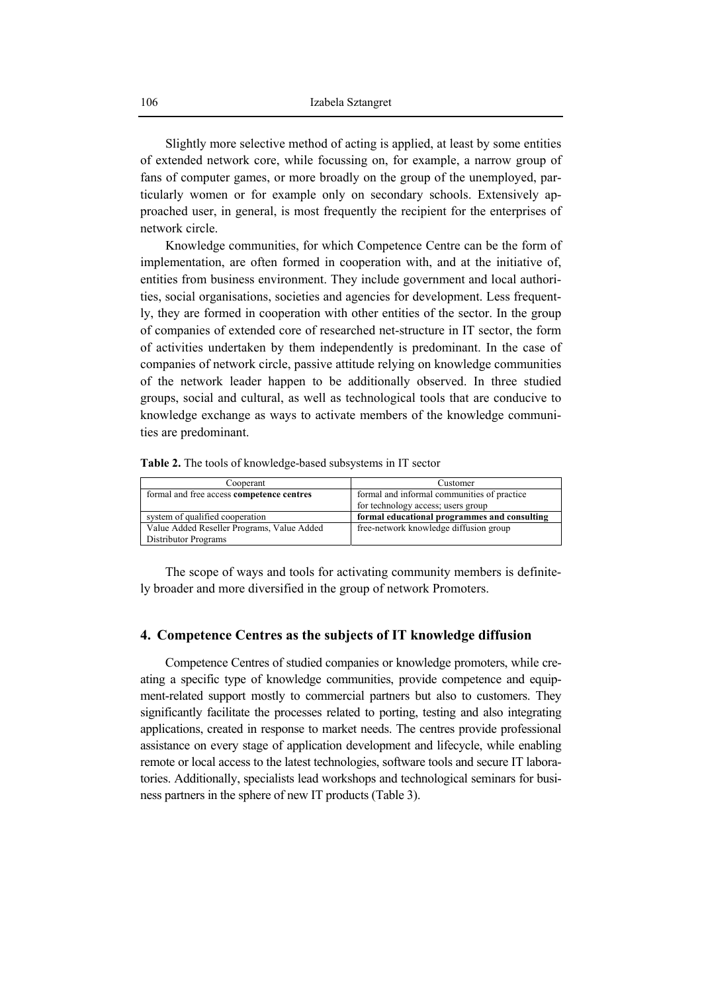Slightly more selective method of acting is applied, at least by some entities of extended network core, while focussing on, for example, a narrow group of fans of computer games, or more broadly on the group of the unemployed, particularly women or for example only on secondary schools. Extensively approached user, in general, is most frequently the recipient for the enterprises of network circle.

Knowledge communities, for which Competence Centre can be the form of implementation, are often formed in cooperation with, and at the initiative of, entities from business environment. They include government and local authorities, social organisations, societies and agencies for development. Less frequently, they are formed in cooperation with other entities of the sector. In the group of companies of extended core of researched net-structure in IT sector, the form of activities undertaken by them independently is predominant. In the case of companies of network circle, passive attitude relying on knowledge communities of the network leader happen to be additionally observed. In three studied groups, social and cultural, as well as technological tools that are conducive to knowledge exchange as ways to activate members of the knowledge communities are predominant.

**Table 2.** The tools of knowledge-based subsystems in IT sector

| Cooperant                                  | Customer                                     |
|--------------------------------------------|----------------------------------------------|
| formal and free access competence centres  | formal and informal communities of practice  |
|                                            | for technology access; users group           |
| system of qualified cooperation            | formal educational programmes and consulting |
| Value Added Reseller Programs, Value Added | free-network knowledge diffusion group       |
| Distributor Programs                       |                                              |

The scope of ways and tools for activating community members is definitely broader and more diversified in the group of network Promoters.

#### **4. Competence Centres as the subjects of IT knowledge diffusion**

Competence Centres of studied companies or knowledge promoters, while creating a specific type of knowledge communities, provide competence and equipment-related support mostly to commercial partners but also to customers. They significantly facilitate the processes related to porting, testing and also integrating applications, created in response to market needs. The centres provide professional assistance on every stage of application development and lifecycle, while enabling remote or local access to the latest technologies, software tools and secure IT laboratories. Additionally, specialists lead workshops and technological seminars for business partners in the sphere of new IT products (Table 3).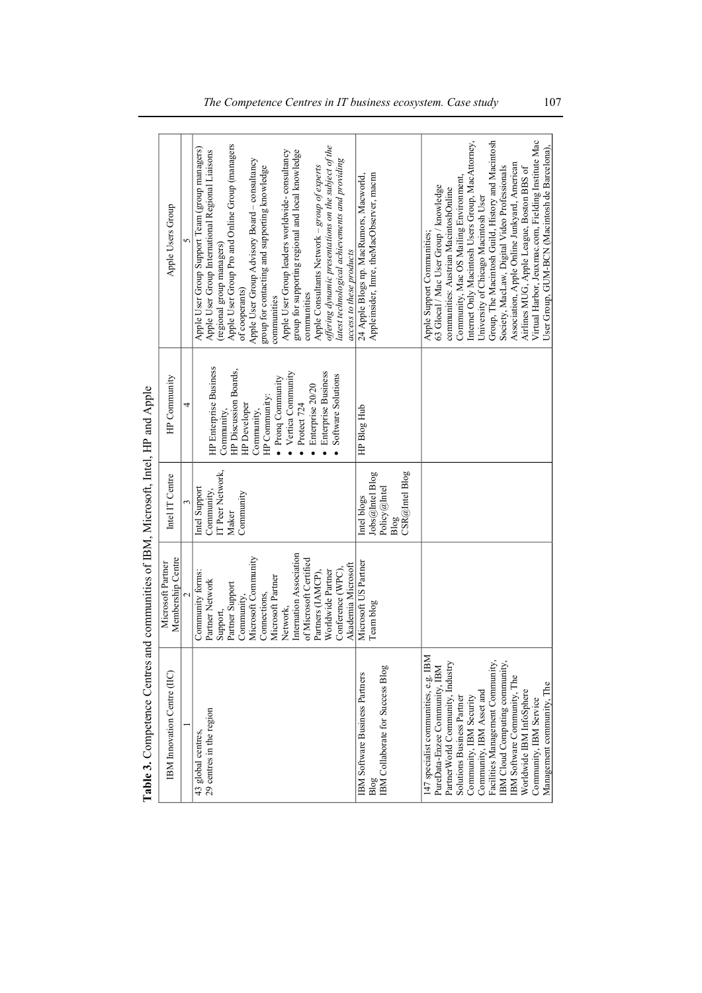| <b>Thomas Schilder Common School</b>                                                                                                                                                                                                                                                                                                                                                  | with community introduction to the same, the wind is post-                                                                                                                                                                                                                                        |                                                                          |                                                                                                                                                                                                                                                                     |                                                                                                                                                                                                                                                                                                                                                                                                                                                                                                                                                                                                                                    |
|---------------------------------------------------------------------------------------------------------------------------------------------------------------------------------------------------------------------------------------------------------------------------------------------------------------------------------------------------------------------------------------|---------------------------------------------------------------------------------------------------------------------------------------------------------------------------------------------------------------------------------------------------------------------------------------------------|--------------------------------------------------------------------------|---------------------------------------------------------------------------------------------------------------------------------------------------------------------------------------------------------------------------------------------------------------------|------------------------------------------------------------------------------------------------------------------------------------------------------------------------------------------------------------------------------------------------------------------------------------------------------------------------------------------------------------------------------------------------------------------------------------------------------------------------------------------------------------------------------------------------------------------------------------------------------------------------------------|
| <b>IBM</b> Imovation Centre (IIC)                                                                                                                                                                                                                                                                                                                                                     | Membership Centre<br>Microsoft Partner                                                                                                                                                                                                                                                            | Intel IT Centre                                                          | HP Community                                                                                                                                                                                                                                                        | Apple Users Group                                                                                                                                                                                                                                                                                                                                                                                                                                                                                                                                                                                                                  |
|                                                                                                                                                                                                                                                                                                                                                                                       |                                                                                                                                                                                                                                                                                                   |                                                                          |                                                                                                                                                                                                                                                                     |                                                                                                                                                                                                                                                                                                                                                                                                                                                                                                                                                                                                                                    |
|                                                                                                                                                                                                                                                                                                                                                                                       | Internation Association<br>Microsoft Community<br>of Microsoft Certified<br>Akademia Microsoft<br>Worldwide Partner<br>Community forms:<br>Conference (WPC)<br>Partners (IAMCP).<br>Microsoft Partner<br>Partner Network<br>Partner Support<br>Connections,<br>Community,<br>Network,<br>Support, | IT Peer Network,<br>Intel Support<br>Community,<br>Community<br>Maker    | <b>HP</b> Enterprise Business<br>HP Discussion Boards,<br>Vertica Community<br><b>Enterprise Business</b><br>Software Solutions<br>$\bullet$ Pronq Community<br>Enterprise 20/20<br>HP Community:<br>Protect 724<br><b>HP</b> Developer<br>Community,<br>Community, | Apple User Group Pro and Online Group (managers<br>offering dynamic presentations on the subject of the<br>Apple User Group Support Team (group managers)<br>Apple User Group International Regional Liaisons<br>group for supporting regional and local knowledge<br>Apple User Group leaders worldwide-consultancy<br>Apple User Group Advisory Board - consultancy<br>latest technological achievements and providing<br>group for contacting and supporting knowledge<br>Apple Consultants Network - group of experts<br>(regional group managers)<br>access to these products<br>of cooperants)<br>communities<br>communities |
| <b>BM</b> Collaborate for Success Blog<br><b>BM Software Business Partners</b>                                                                                                                                                                                                                                                                                                        | Microsoft US Partner<br>Team blog                                                                                                                                                                                                                                                                 | CSR@Intel Blog<br>Jobs@Intel Blog<br>Policy@Intel<br>Intel blogs<br>Blog | HP Blog Hub                                                                                                                                                                                                                                                         | Appleinsider, Imre, theMacObserver, macnn<br>24 Apple Blogs np. MacRumors, Macworld,                                                                                                                                                                                                                                                                                                                                                                                                                                                                                                                                               |
| 147 specialist communities, e.g. IBM<br>PartnerWorld Community, Industry<br>Facilities Management Community,<br>IBM Cloud Computing community<br>PureData-Enzee Community, IBM<br>IBM Software Community, The<br>Management community, The<br>Community, IBM Asset and<br>Worldwide IBM InfoSphere<br>Community, IBM Security<br>Solutions Business Partner<br>Community, IBM Service |                                                                                                                                                                                                                                                                                                   |                                                                          |                                                                                                                                                                                                                                                                     | Internet Only Macintosh Users Group, MacAttorney,<br>Group, The Macintosh Guild, History and Macintosh<br>Virtual Harbor, Jeuxmac.com, Fielding Institute Mac<br>User Group, GUM-BCN (Macintosh de Barcelona),<br>Association, Apple Online Junkyard, American<br>Society, MacLaw, Digital Video Professionals<br>Airlines MUG, Apple League, Boston BBS of<br>Community, Mac OS Mailing Environment,<br>63 Glocal / Mac User Group / knowledge<br>communities: Austrian MacintoshOnline<br>University of Chicago Macintosh User<br>Apple Support Communities;                                                                     |

Table 3. Competence Centres and communities of IBM, Microsoft, Intel, HP and Apple **Table 3.** Competence Centres and communities of IBM, Microsoft, Intel, HP and Apple *The Competence Centres in IT business ecosystem. Case study* 107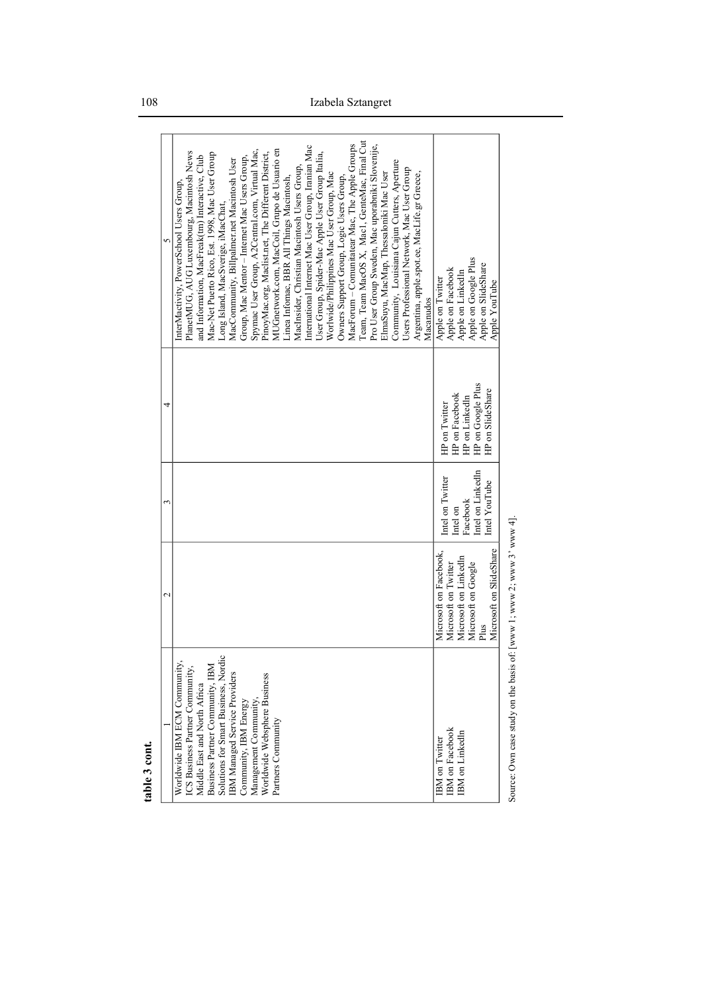|                                                                                                                                                                                                                                                                                                                    | $\mathcal{C}$                                                                                                                     |                                                                                |                                                                                            |                                                                                                                                                                                                                                                                                                                                                                                                                                                                                                                                                                                                                                                                                                                                                                                                                                                                                                                                                                                                                                                                                                                                                   |
|--------------------------------------------------------------------------------------------------------------------------------------------------------------------------------------------------------------------------------------------------------------------------------------------------------------------|-----------------------------------------------------------------------------------------------------------------------------------|--------------------------------------------------------------------------------|--------------------------------------------------------------------------------------------|---------------------------------------------------------------------------------------------------------------------------------------------------------------------------------------------------------------------------------------------------------------------------------------------------------------------------------------------------------------------------------------------------------------------------------------------------------------------------------------------------------------------------------------------------------------------------------------------------------------------------------------------------------------------------------------------------------------------------------------------------------------------------------------------------------------------------------------------------------------------------------------------------------------------------------------------------------------------------------------------------------------------------------------------------------------------------------------------------------------------------------------------------|
| Solutions for Smart Business, Nordic<br>Worldwide IBM ECM Community,<br>Business Partner Community, IBM<br>ICS Business Partner Community,<br>IBM Managed Service Providers<br>Worldwide Websphere Business<br>Middle East and North Africa<br>Management Community<br>Community, IBM Energy<br>Partners Community |                                                                                                                                   |                                                                                |                                                                                            | Team, Team MacOS X, Mac1, GenteMac, Final Cut<br>MacForum – Comunitatear Mac. The Apple Groups<br>Pro User Group Sweden, Mac uporabniki Slovenije,<br>International Internet Mac User Group, Iranian Mac<br>MUGnetwork.com, MacCoil, Grupo de Usuario en<br>Spymac User Group, A2Central.com, Virtual Mac,<br>PlanetMUG, AUG Luxembourg, Macintosh News<br>User Group, Spider-Mac Apple User Group Italia,<br>PinoyMac.org, Maclist.net, The Different District,<br>Mac-Net Puerto Rico, Est. 1998, Mac User Group<br>and Information, MacFreak(tm) Interactive, Club<br>Group, Mac Mentor - Internet Mac Users Group,<br>MacCommunity, Billpalmer.net Macintosh User<br>Community, Louisiana Cajun Cutters, Aperture<br>MacInsider, Christian Macintosh Users Group,<br>Users Professional Network, Mac User Group<br>Worlwide/Philippines Mac User Group, Mac<br>ElmaSuyu, MacMap, Thessaloniki Mac User<br>Argentina, apple spot.ee, MacLife.gr Greece,<br>Owners Support Group, Logic Users Group,<br>Linea Infomac, BBR All Things Macintosh,<br>InterMactivity, PowerSchool Users Group,<br>Long Island, MacSverige, iMacChat,<br>Macanudos |
| <b>IBM</b> on Facebook<br><b>IBM</b> on LinkedIn<br><b>IBM</b> on Twitter                                                                                                                                                                                                                                          | Microsoft on SlideShare<br>Microsoft on Facebook,<br>Microsoft on Linkedln<br>Microsoft on Google<br>Microsoft on Twitter<br>Plus | Intel on LinkedIn<br>Intel on Twitter<br>Intel YouTube<br>Facebook<br>Intel on | HP on Google Plus<br>HP on SlideShare<br>HP on Facebook<br>HP on LinkedIn<br>HP on Twitter | Apple on Google Plus<br>Apple on SlideShare<br>Apple on Facebook<br>Apple on LinkedIn<br>Apple on Twitter<br>Apple YouTube                                                                                                                                                                                                                                                                                                                                                                                                                                                                                                                                                                                                                                                                                                                                                                                                                                                                                                                                                                                                                        |
| Source: Own case study on the basis of: [www 1; www 2; www 3' www 4]                                                                                                                                                                                                                                               |                                                                                                                                   |                                                                                |                                                                                            |                                                                                                                                                                                                                                                                                                                                                                                                                                                                                                                                                                                                                                                                                                                                                                                                                                                                                                                                                                                                                                                                                                                                                   |

table 3 cont. **table 3 cont.**

108 Izabela Sztangret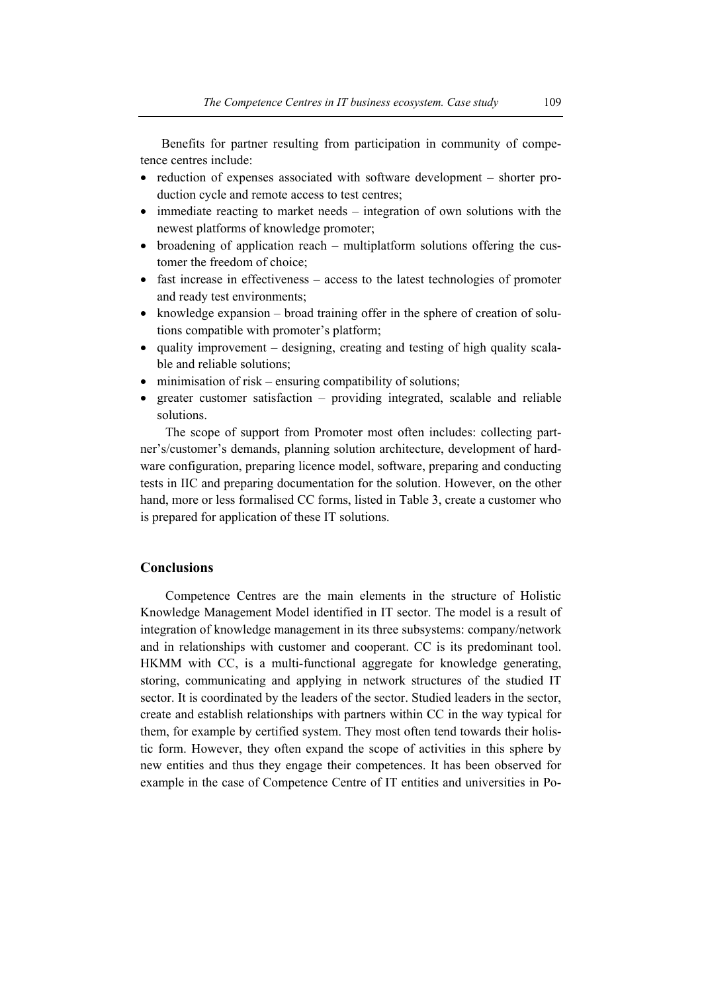Benefits for partner resulting from participation in community of competence centres include:

- reduction of expenses associated with software development shorter production cycle and remote access to test centres;
- immediate reacting to market needs integration of own solutions with the newest platforms of knowledge promoter;
- broadening of application reach multiplatform solutions offering the customer the freedom of choice;
- fast increase in effectiveness access to the latest technologies of promoter and ready test environments;
- knowledge expansion broad training offer in the sphere of creation of solutions compatible with promoter's platform;
- quality improvement designing, creating and testing of high quality scalable and reliable solutions;
- minimisation of risk ensuring compatibility of solutions;
- greater customer satisfaction providing integrated, scalable and reliable solutions.

The scope of support from Promoter most often includes: collecting partner's/customer's demands, planning solution architecture, development of hardware configuration, preparing licence model, software, preparing and conducting tests in IIC and preparing documentation for the solution. However, on the other hand, more or less formalised CC forms, listed in Table 3, create a customer who is prepared for application of these IT solutions.

### **Conclusions**

Competence Centres are the main elements in the structure of Holistic Knowledge Management Model identified in IT sector. The model is a result of integration of knowledge management in its three subsystems: company/network and in relationships with customer and cooperant. CC is its predominant tool. HKMM with CC, is a multi-functional aggregate for knowledge generating, storing, communicating and applying in network structures of the studied IT sector. It is coordinated by the leaders of the sector. Studied leaders in the sector, create and establish relationships with partners within CC in the way typical for them, for example by certified system. They most often tend towards their holistic form. However, they often expand the scope of activities in this sphere by new entities and thus they engage their competences. It has been observed for example in the case of Competence Centre of IT entities and universities in Po